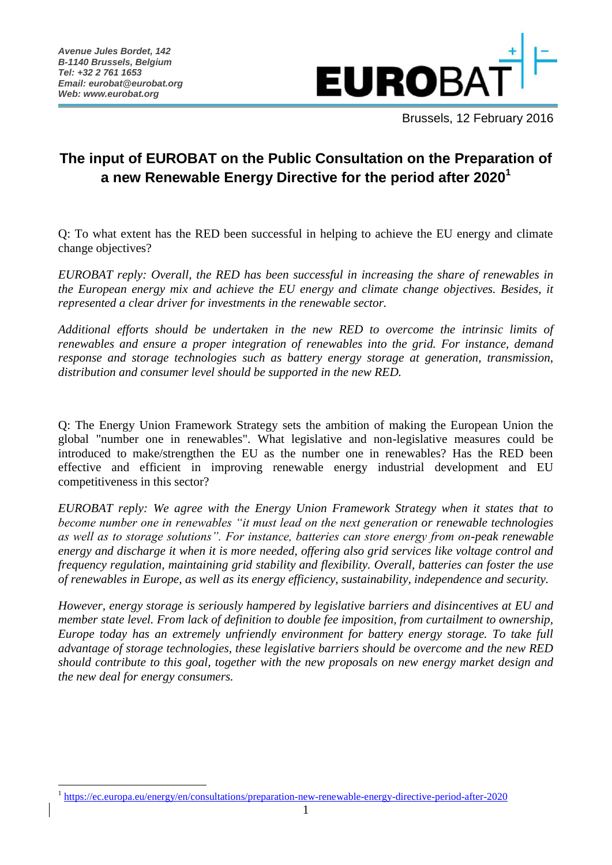1



Brussels, 12 February 2016

## **The input of EUROBAT on the Public Consultation on the Preparation of a new Renewable Energy Directive for the period after 2020<sup>1</sup>**

Q: To what extent has the RED been successful in helping to achieve the EU energy and climate change objectives?

*EUROBAT reply: Overall, the RED has been successful in increasing the share of renewables in the European energy mix and achieve the EU energy and climate change objectives. Besides, it represented a clear driver for investments in the renewable sector.* 

*Additional efforts should be undertaken in the new RED to overcome the intrinsic limits of renewables and ensure a proper integration of renewables into the grid. For instance, demand response and storage technologies such as battery energy storage at generation, transmission, distribution and consumer level should be supported in the new RED.* 

Q: The Energy Union Framework Strategy sets the ambition of making the European Union the global "number one in renewables". What legislative and non-legislative measures could be introduced to make/strengthen the EU as the number one in renewables? Has the RED been effective and efficient in improving renewable energy industrial development and EU competitiveness in this sector?

*EUROBAT reply: We agree with the Energy Union Framework Strategy when it states that to become number one in renewables "it must lead on the next generation or renewable technologies as well as to storage solutions". For instance, batteries can store energy from on-peak renewable energy and discharge it when it is more needed, offering also grid services like voltage control and frequency regulation, maintaining grid stability and flexibility. Overall, batteries can foster the use of renewables in Europe, as well as its energy efficiency, sustainability, independence and security.*

*However, energy storage is seriously hampered by legislative barriers and disincentives at EU and member state level. From lack of definition to double fee imposition, from curtailment to ownership, Europe today has an extremely unfriendly environment for battery energy storage. To take full advantage of storage technologies, these legislative barriers should be overcome and the new RED should contribute to this goal, together with the new proposals on new energy market design and the new deal for energy consumers.*

<sup>1</sup> <https://ec.europa.eu/energy/en/consultations/preparation-new-renewable-energy-directive-period-after-2020>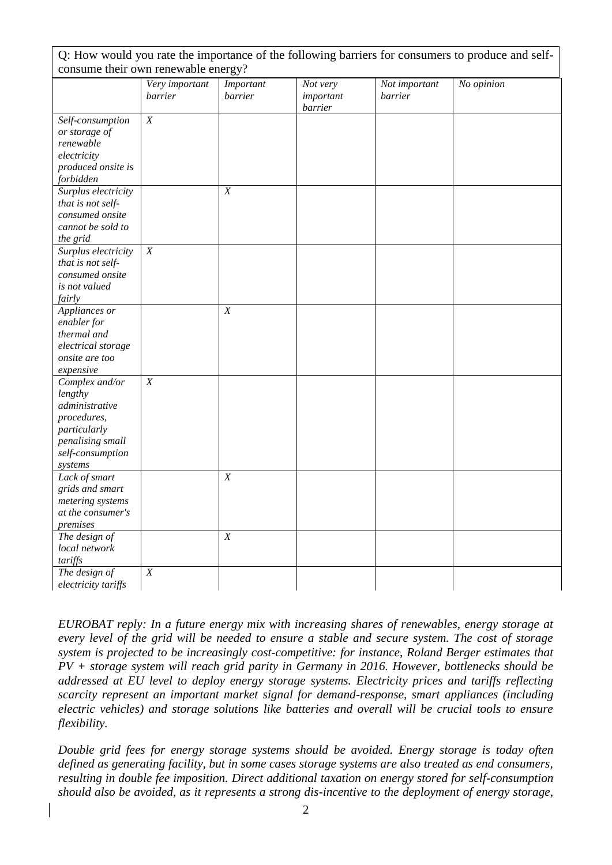| Q: How would you rate the importance of the following barriers for consumers to produce and self-                             |                           |                      |                                  |                          |            |  |  |
|-------------------------------------------------------------------------------------------------------------------------------|---------------------------|----------------------|----------------------------------|--------------------------|------------|--|--|
| consume their own renewable energy?                                                                                           |                           |                      |                                  |                          |            |  |  |
|                                                                                                                               | Very important<br>barrier | Important<br>barrier | Not very<br>important<br>barrier | Not important<br>barrier | No opinion |  |  |
| Self-consumption<br>or storage of<br>renewable<br>electricity<br>produced onsite is<br>forbidden                              | $\boldsymbol{X}$          |                      |                                  |                          |            |  |  |
| Surplus electricity<br>that is not self-<br>consumed onsite<br>cannot be sold to<br>the grid                                  |                           | $\boldsymbol{X}$     |                                  |                          |            |  |  |
| Surplus electricity<br>that is not self-<br>consumed onsite<br>is not valued<br>fairly                                        | X                         |                      |                                  |                          |            |  |  |
| Appliances or<br>enabler for<br>thermal and<br>electrical storage<br>onsite are too<br>expensive                              |                           | $\boldsymbol{X}$     |                                  |                          |            |  |  |
| Complex and/or<br>lengthy<br>administrative<br>procedures,<br>particularly<br>penalising small<br>self-consumption<br>systems | $\boldsymbol{X}$          |                      |                                  |                          |            |  |  |
| Lack of smart<br>grids and smart<br>metering systems<br>at the consumer's<br>premises                                         |                           | $\boldsymbol{X}$     |                                  |                          |            |  |  |
| The design of<br>local network<br>tariffs                                                                                     |                           | X                    |                                  |                          |            |  |  |
| The design of<br>electricity tariffs                                                                                          | $\overline{X}$            |                      |                                  |                          |            |  |  |

*EUROBAT reply: In a future energy mix with increasing shares of renewables, energy storage at every level of the grid will be needed to ensure a stable and secure system. The cost of storage system is projected to be increasingly cost-competitive: for instance, Roland Berger estimates that PV + storage system will reach grid parity in Germany in 2016. However, bottlenecks should be addressed at EU level to deploy energy storage systems. Electricity prices and tariffs reflecting scarcity represent an important market signal for demand-response, smart appliances (including electric vehicles) and storage solutions like batteries and overall will be crucial tools to ensure flexibility.* 

*Double grid fees for energy storage systems should be avoided. Energy storage is today often defined as generating facility, but in some cases storage systems are also treated as end consumers, resulting in double fee imposition. Direct additional taxation on energy stored for self-consumption should also be avoided, as it represents a strong dis-incentive to the deployment of energy storage,*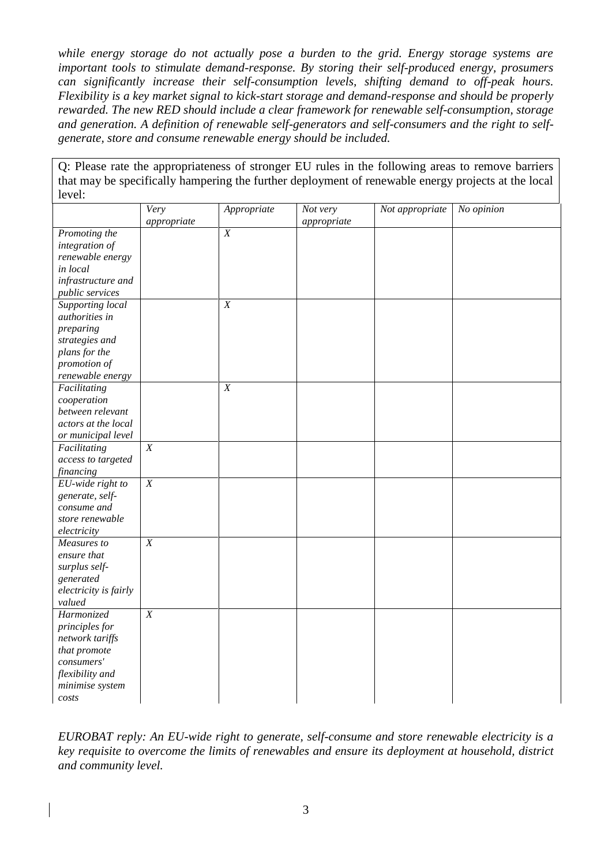*while energy storage do not actually pose a burden to the grid. Energy storage systems are important tools to stimulate demand-response. By storing their self-produced energy, prosumers can significantly increase their self-consumption levels, shifting demand to off-peak hours. Flexibility is a key market signal to kick-start storage and demand-response and should be properly rewarded. The new RED should include a clear framework for renewable self-consumption, storage and generation. A definition of renewable self-generators and self-consumers and the right to selfgenerate, store and consume renewable energy should be included.*

Q: Please rate the appropriateness of stronger EU rules in the following areas to remove barriers that may be specifically hampering the further deployment of renewable energy projects at the local level:

|                       | Very           | Appropriate    | Not very    | Not appropriate | No opinion |
|-----------------------|----------------|----------------|-------------|-----------------|------------|
|                       | appropriate    |                | appropriate |                 |            |
| Promoting the         |                | $\overline{X}$ |             |                 |            |
| integration of        |                |                |             |                 |            |
| renewable energy      |                |                |             |                 |            |
| in local              |                |                |             |                 |            |
| infrastructure and    |                |                |             |                 |            |
| public services       |                |                |             |                 |            |
| Supporting local      |                | $\overline{X}$ |             |                 |            |
| authorities in        |                |                |             |                 |            |
| preparing             |                |                |             |                 |            |
| strategies and        |                |                |             |                 |            |
| plans for the         |                |                |             |                 |            |
| promotion of          |                |                |             |                 |            |
| renewable energy      |                |                |             |                 |            |
| Facilitating          |                | X              |             |                 |            |
| cooperation           |                |                |             |                 |            |
| between relevant      |                |                |             |                 |            |
| actors at the local   |                |                |             |                 |            |
| or municipal level    |                |                |             |                 |            |
| Facilitating          | $\overline{X}$ |                |             |                 |            |
| access to targeted    |                |                |             |                 |            |
| <i>financing</i>      |                |                |             |                 |            |
| EU-wide right to      | $\overline{X}$ |                |             |                 |            |
| generate, self-       |                |                |             |                 |            |
| consume and           |                |                |             |                 |            |
| store renewable       |                |                |             |                 |            |
| electricity           |                |                |             |                 |            |
| Measures to           | $\overline{X}$ |                |             |                 |            |
| ensure that           |                |                |             |                 |            |
| surplus self-         |                |                |             |                 |            |
| generated             |                |                |             |                 |            |
| electricity is fairly |                |                |             |                 |            |
| valued                |                |                |             |                 |            |
| Harmonized            | $\overline{X}$ |                |             |                 |            |
| principles for        |                |                |             |                 |            |
| network tariffs       |                |                |             |                 |            |
| that promote          |                |                |             |                 |            |
| consumers'            |                |                |             |                 |            |
| flexibility and       |                |                |             |                 |            |
| minimise system       |                |                |             |                 |            |
| costs                 |                |                |             |                 |            |
|                       |                |                |             |                 |            |

*EUROBAT reply: An EU-wide right to generate, self-consume and store renewable electricity is a key requisite to overcome the limits of renewables and ensure its deployment at household, district and community level.*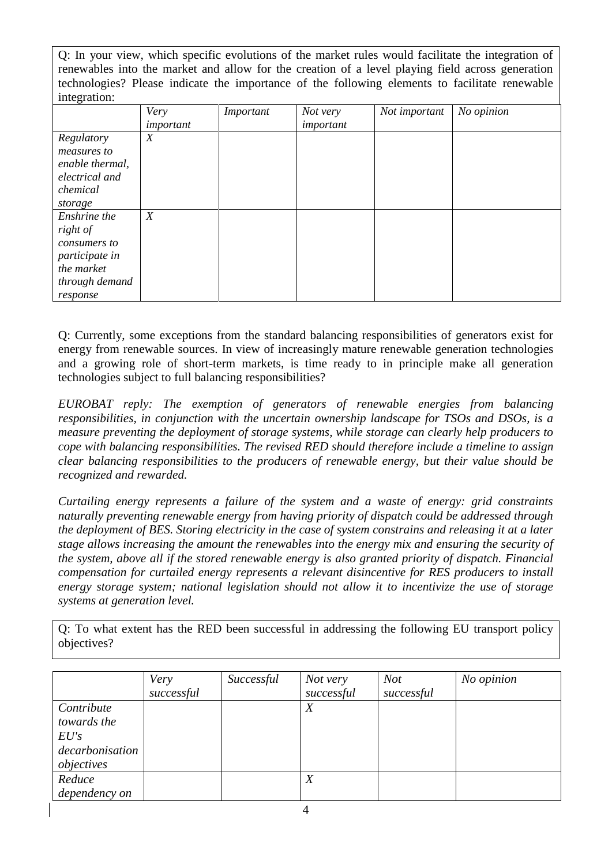Q: In your view, which specific evolutions of the market rules would facilitate the integration of renewables into the market and allow for the creation of a level playing field across generation technologies? Please indicate the importance of the following elements to facilitate renewable integration:

| ັ               | Very<br>important | Important | Not very<br>important | Not important | No opinion |
|-----------------|-------------------|-----------|-----------------------|---------------|------------|
|                 |                   |           |                       |               |            |
| Regulatory      | X                 |           |                       |               |            |
| measures to     |                   |           |                       |               |            |
| enable thermal, |                   |           |                       |               |            |
| electrical and  |                   |           |                       |               |            |
| chemical        |                   |           |                       |               |            |
| storage         |                   |           |                       |               |            |
| Enshrine the    | $\boldsymbol{X}$  |           |                       |               |            |
| right of        |                   |           |                       |               |            |
| consumers to    |                   |           |                       |               |            |
| participate in  |                   |           |                       |               |            |
| the market      |                   |           |                       |               |            |
| through demand  |                   |           |                       |               |            |
| response        |                   |           |                       |               |            |

Q: Currently, some exceptions from the standard balancing responsibilities of generators exist for energy from renewable sources. In view of increasingly mature renewable generation technologies and a growing role of short-term markets, is time ready to in principle make all generation technologies subject to full balancing responsibilities?

*EUROBAT reply: The exemption of generators of renewable energies from balancing responsibilities, in conjunction with the uncertain ownership landscape for TSOs and DSOs, is a measure preventing the deployment of storage systems, while storage can clearly help producers to cope with balancing responsibilities. The revised RED should therefore include a timeline to assign clear balancing responsibilities to the producers of renewable energy, but their value should be recognized and rewarded.*

*Curtailing energy represents a failure of the system and a waste of energy: grid constraints naturally preventing renewable energy from having priority of dispatch could be addressed through the deployment of BES. Storing electricity in the case of system constrains and releasing it at a later stage allows increasing the amount the renewables into the energy mix and ensuring the security of the system, above all if the stored renewable energy is also granted priority of dispatch. Financial compensation for curtailed energy represents a relevant disincentive for RES producers to install energy storage system; national legislation should not allow it to incentivize the use of storage systems at generation level.* 

Q: To what extent has the RED been successful in addressing the following EU transport policy objectives?

|                 | Very       | Successful | Not very         | <b>Not</b> | No opinion |
|-----------------|------------|------------|------------------|------------|------------|
|                 | successful |            | successful       | successful |            |
| Contribute      |            |            | $\boldsymbol{X}$ |            |            |
| towards the     |            |            |                  |            |            |
| EU's            |            |            |                  |            |            |
| decarbonisation |            |            |                  |            |            |
| objectives      |            |            |                  |            |            |
| Reduce          |            |            | $\boldsymbol{X}$ |            |            |
| dependency on   |            |            |                  |            |            |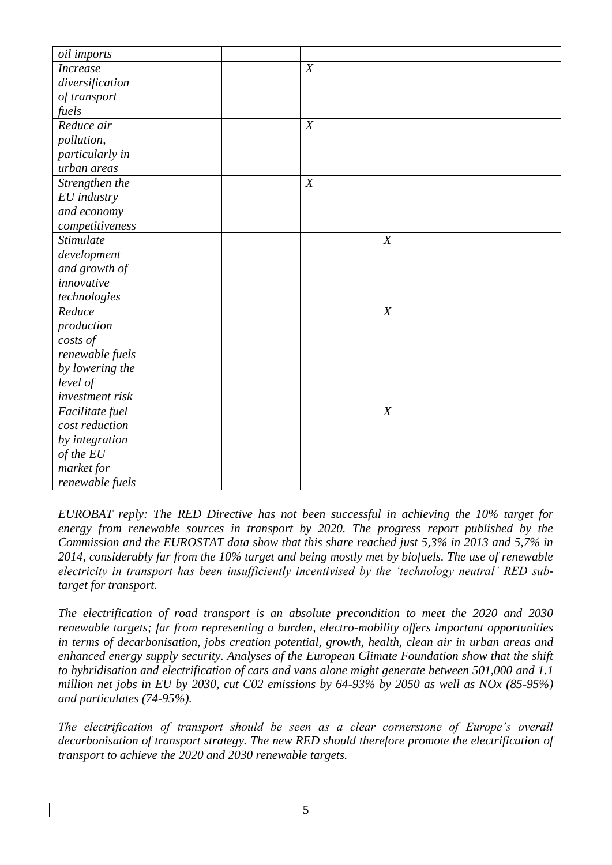| oil imports      |  |   |   |  |
|------------------|--|---|---|--|
| <b>Increase</b>  |  | X |   |  |
| diversification  |  |   |   |  |
| of transport     |  |   |   |  |
| fuels            |  |   |   |  |
| Reduce air       |  | X |   |  |
| pollution,       |  |   |   |  |
| particularly in  |  |   |   |  |
| urban areas      |  |   |   |  |
| Strengthen the   |  | X |   |  |
| EU industry      |  |   |   |  |
| and economy      |  |   |   |  |
| competitiveness  |  |   |   |  |
| <b>Stimulate</b> |  |   | X |  |
| development      |  |   |   |  |
| and growth of    |  |   |   |  |
| innovative       |  |   |   |  |
| technologies     |  |   |   |  |
| Reduce           |  |   | X |  |
| production       |  |   |   |  |
| costs of         |  |   |   |  |
| renewable fuels  |  |   |   |  |
| by lowering the  |  |   |   |  |
| level of         |  |   |   |  |
| investment risk  |  |   |   |  |
| Facilitate fuel  |  |   | X |  |
| cost reduction   |  |   |   |  |
| by integration   |  |   |   |  |
| of the EU        |  |   |   |  |
| market for       |  |   |   |  |
| renewable fuels  |  |   |   |  |

*EUROBAT reply: The RED Directive has not been successful in achieving the 10% target for energy from renewable sources in transport by 2020. The progress report published by the Commission and the EUROSTAT data show that this share reached just 5,3% in 2013 and 5,7% in 2014, considerably far from the 10% target and being mostly met by biofuels. The use of renewable electricity in transport has been insufficiently incentivised by the 'technology neutral' RED subtarget for transport.* 

*The electrification of road transport is an absolute precondition to meet the 2020 and 2030 renewable targets; far from representing a burden, electro-mobility offers important opportunities in terms of decarbonisation, jobs creation potential, growth, health, clean air in urban areas and enhanced energy supply security. Analyses of the European Climate Foundation show that the shift to hybridisation and electrification of cars and vans alone might generate between 501,000 and 1.1 million net jobs in EU by 2030, cut C02 emissions by 64-93% by 2050 as well as NOx (85-95%) and particulates (74-95%).*

*The electrification of transport should be seen as a clear cornerstone of Europe's overall decarbonisation of transport strategy. The new RED should therefore promote the electrification of transport to achieve the 2020 and 2030 renewable targets.*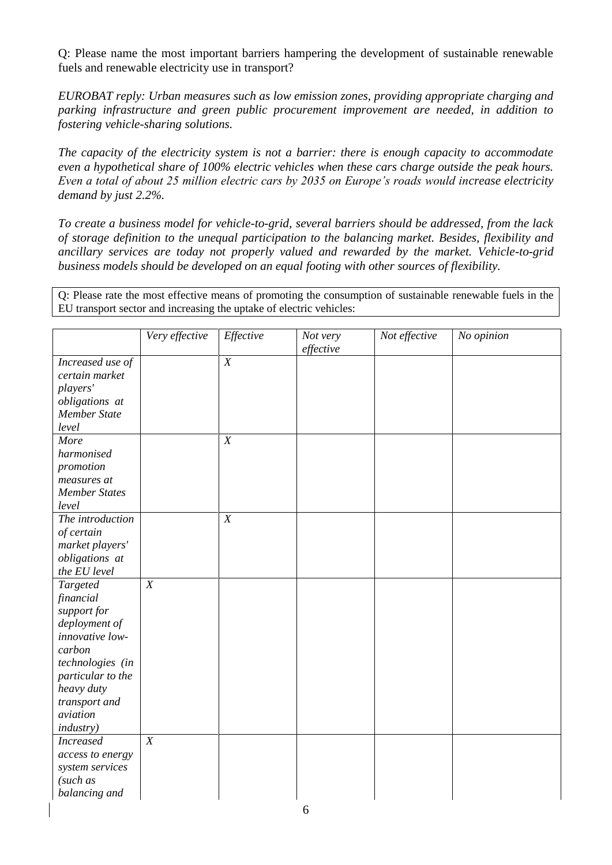Q: Please name the most important barriers hampering the development of sustainable renewable fuels and renewable electricity use in transport?

*EUROBAT reply: Urban measures such as low emission zones, providing appropriate charging and parking infrastructure and green public procurement improvement are needed, in addition to fostering vehicle-sharing solutions.*

*The capacity of the electricity system is not a barrier: there is enough capacity to accommodate even a hypothetical share of 100% electric vehicles when these cars charge outside the peak hours. Even a total of about 25 million electric cars by 2035 on Europe's roads would increase electricity demand by just 2.2%.* 

*To create a business model for vehicle-to-grid, several barriers should be addressed, from the lack of storage definition to the unequal participation to the balancing market. Besides, flexibility and ancillary services are today not properly valued and rewarded by the market. Vehicle-to-grid business models should be developed on an equal footing with other sources of flexibility.*

Q: Please rate the most effective means of promoting the consumption of sustainable renewable fuels in the EU transport sector and increasing the uptake of electric vehicles:

|                      | Very effective | Effective        | Not very<br>effective | Not effective | No opinion |
|----------------------|----------------|------------------|-----------------------|---------------|------------|
| Increased use of     |                | $\overline{X}$   |                       |               |            |
| certain market       |                |                  |                       |               |            |
| players'             |                |                  |                       |               |            |
| obligations at       |                |                  |                       |               |            |
| <b>Member State</b>  |                |                  |                       |               |            |
| level                |                |                  |                       |               |            |
| More                 |                | $\boldsymbol{X}$ |                       |               |            |
| harmonised           |                |                  |                       |               |            |
| promotion            |                |                  |                       |               |            |
| measures at          |                |                  |                       |               |            |
| <b>Member States</b> |                |                  |                       |               |            |
| level                |                |                  |                       |               |            |
| The introduction     |                | $\boldsymbol{X}$ |                       |               |            |
| of certain           |                |                  |                       |               |            |
| market players'      |                |                  |                       |               |            |
| obligations at       |                |                  |                       |               |            |
| the EU level         |                |                  |                       |               |            |
| Targeted             | $\overline{X}$ |                  |                       |               |            |
| financial            |                |                  |                       |               |            |
| support for          |                |                  |                       |               |            |
| deployment of        |                |                  |                       |               |            |
| innovative low-      |                |                  |                       |               |            |
| carbon               |                |                  |                       |               |            |
| technologies (in     |                |                  |                       |               |            |
| particular to the    |                |                  |                       |               |            |
| heavy duty           |                |                  |                       |               |            |
| transport and        |                |                  |                       |               |            |
| aviation             |                |                  |                       |               |            |
| <i>industry</i> )    |                |                  |                       |               |            |
| <b>Increased</b>     | $\overline{X}$ |                  |                       |               |            |
| access to energy     |                |                  |                       |               |            |
| system services      |                |                  |                       |               |            |
| (such as             |                |                  |                       |               |            |
| balancing and        |                |                  |                       |               |            |